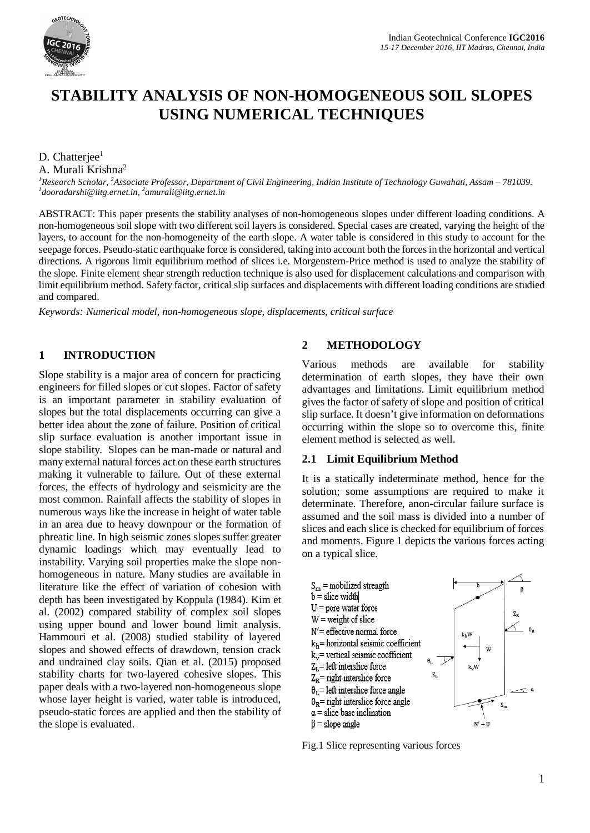

# **STABILITY ANALYSIS OF NON-HOMOGENEOUS SOIL SLOPES USING NUMERICAL TECHNIQUES**

D. Chatterjee<sup>1</sup>

A. Murali Krishna<sup>2</sup>

*<sup>1</sup>Research Scholar, <sup>2</sup>Associate Professor, Department of Civil Engineering, Indian Institute of Technology Guwahati, Assam – 781039. 1 [dooradarshi@iitg.ernet.in,](mailto:dooradarshi@iitg.ernet.in,) <sup>2</sup> [amurali@iitg.ernet.in](mailto:amurali@iitg.ernet.in)*

ABSTRACT: This paper presents the stability analyses of non-homogeneous slopes under different loading conditions. A non-homogeneous soil slope with two different soil layers is considered. Special cases are created, varying the height of the layers, to account for the non-homogeneity of the earth slope. A water table is considered in this study to account for the seepage forces. Pseudo-static earthquake force is considered, taking into account both the forces in the horizontal and vertical directions. A rigorous limit equilibrium method of slices i.e. Morgenstern-Price method is used to analyze the stability of the slope. Finite element shear strength reduction technique is also used for displacement calculations and comparison with limit equilibrium method. Safety factor, critical slip surfaces and displacements with different loading conditions are studied and compared.

*Keywords: Numerical model, non-homogeneous slope, displacements, critical surface*

#### **1 INTRODUCTION**

Slope stability is a major area of concern for practicing engineers for filled slopes or cut slopes. Factor of safety is an important parameter in stability evaluation of slopes but the total displacements occurring can give a better idea about the zone of failure. Position of critical slip surface evaluation is another important issue in slope stability. Slopes can be man-made or natural and many external natural forces act on these earth structures making it vulnerable to failure. Out of these external forces, the effects of hydrology and seismicity are the most common. Rainfall affects the stability of slopes in numerous ways like the increase in height of water table in an area due to heavy downpour or the formation of phreatic line. In high seismic zones slopes suffer greater dynamic loadings which may eventually lead to instability. Varying soil properties make the slope nonhomogeneous in nature. Many studies are available in literature like the effect of variation of cohesion with depth has been investigated by Koppula (1984). Kim et al. (2002) compared stability of complex soil slopes using upper bound and lower bound limit analysis. Hammouri et al. (2008) studied stability of layered slopes and showed effects of drawdown, tension crack and undrained clay soils. Qian et al. (2015) proposed stability charts for two-layered cohesive slopes. This paper deals with a two-layered non-homogeneous slope whose layer height is varied, water table is introduced, pseudo-static forces are applied and then the stability of the slope is evaluated.

### **2 METHODOLOGY**

Various methods are available for stability determination of earth slopes, they have their own advantages and limitations. Limit equilibrium method gives the factor of safety of slope and position of critical slip surface. It doesn't give information on deformations occurring within the slope so to overcome this, finite element method is selected as well.

#### **2.1 Limit Equilibrium Method**

It is a statically indeterminate method, hence for the solution; some assumptions are required to make it determinate. Therefore, anon-circular failure surface is assumed and the soil mass is divided into a number of slices and each slice is checked for equilibrium of forces and moments. Figure 1 depicts the various forces acting on a typical slice.



Fig.1 Slice representing various forces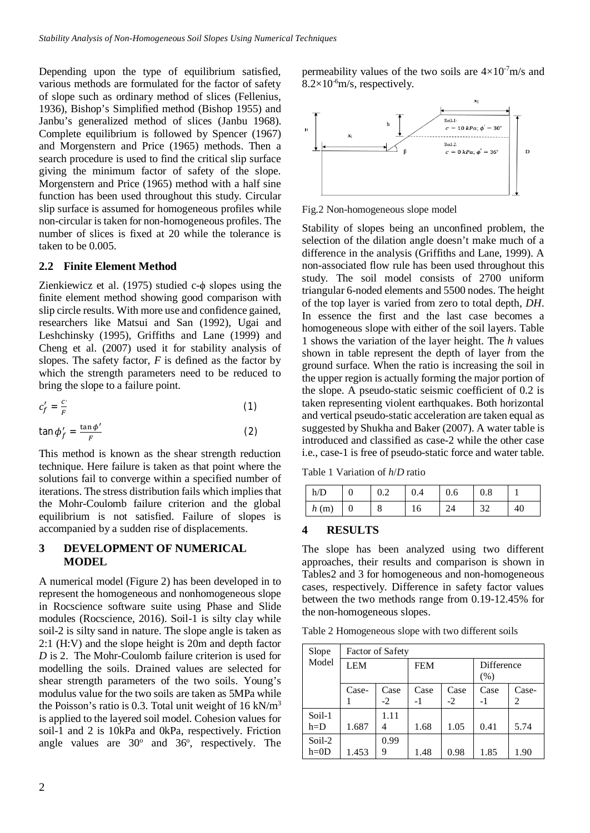Depending upon the type of equilibrium satisfied, various methods are formulated for the factor of safety of slope such as ordinary method of slices (Fellenius, 1936), Bishop's Simplified method (Bishop 1955) and Janbu's generalized method of slices (Janbu 1968). Complete equilibrium is followed by Spencer (1967) and Morgenstern and Price (1965) methods. Then a search procedure is used to find the critical slip surface giving the minimum factor of safety of the slope. Morgenstern and Price (1965) method with a half sine function has been used throughout this study. Circular slip surface is assumed for homogeneous profiles while non-circular is taken for non-homogeneous profiles. The number of slices is fixed at 20 while the tolerance is taken to be 0.005.

#### **2.2 Finite Element Method**

Zienkiewicz et al. (1975) studied c-ϕ slopes using the finite element method showing good comparison with slip circle results. With more use and confidence gained, researchers like Matsui and San (1992), Ugai and Leshchinsky (1995), Griffiths and Lane (1999) and Cheng et al. (2007) used it for stability analysis of slopes. The safety factor, *F* is defined as the factor by which the strength parameters need to be reduced to bring the slope to a failure point.

$$
c_f' = \frac{c}{F} \tag{1}
$$

$$
\tan \phi'_f = \frac{\tan \phi'}{F} \tag{2}
$$

This method is known as the shear strength reduction technique. Here failure is taken as that point where the solutions fail to converge within a specified number of iterations. The stress distribution fails which implies that the Mohr-Coulomb failure criterion and the global equilibrium is not satisfied. Failure of slopes is accompanied by a sudden rise of displacements.

#### **3 DEVELOPMENT OF NUMERICAL MODEL**

A numerical model (Figure 2) has been developed in to represent the homogeneous and nonhomogeneous slope in Rocscience software suite using Phase and Slide modules (Rocscience, 2016). Soil-1 is silty clay while soil-2 is silty sand in nature. The slope angle is taken as 2:1 (H:V) and the slope height is 20m and depth factor *D* is 2. The Mohr-Coulomb failure criterion is used for modelling the soils. Drained values are selected for shear strength parameters of the two soils. Young's modulus value for the two soils are taken as 5MPa while the Poisson's ratio is 0.3. Total unit weight of  $16 \text{ kN/m}^3$ is applied to the layered soil model. Cohesion values for soil-1 and 2 is 10kPa and 0kPa, respectively. Friction angle values are  $30^{\circ}$  and  $36^{\circ}$ , respectively. The permeability values of the two soils are  $4\times10^{-7}$ m/s and  $8.2\times10^{-6}$ m/s, respectively.



Fig.2 Non-homogeneous slope model

Stability of slopes being an unconfined problem, the selection of the dilation angle doesn't make much of a difference in the analysis (Griffiths and Lane, 1999). A non-associated flow rule has been used throughout this study. The soil model consists of 2700 uniform triangular 6-noded elements and 5500 nodes. The height of the top layer is varied from zero to total depth, *DH*. In essence the first and the last case becomes a homogeneous slope with either of the soil layers. Table 1 shows the variation of the layer height. The *h* values shown in table represent the depth of layer from the ground surface. When the ratio is increasing the soil in the upper region is actually forming the major portion of the slope. A pseudo-static seismic coefficient of 0.2 is taken representing violent earthquakes. Both horizontal and vertical pseudo-static acceleration are taken equal as suggested by Shukha and Baker (2007). A water table is introduced and classified as case-2 while the other case i.e., case-1 is free of pseudo-static force and water table.

Table 1 Variation of *h*/*D* ratio

| h/D  | U |   | 0.4 | 0.6 | 0.8 |    |
|------|---|---|-----|-----|-----|----|
| h(m) | υ | o | 16  |     |     | 40 |

#### **4 RESULTS**

The slope has been analyzed using two different approaches, their results and comparison is shown in Tables2 and 3 for homogeneous and non-homogeneous cases, respectively. Difference in safety factor values between the two methods range from 0.19-12.45% for the non-homogeneous slopes.

Table 2 Homogeneous slope with two different soils

| Slope  | <b>Factor of Safety</b> |      |            |      |            |       |  |
|--------|-------------------------|------|------------|------|------------|-------|--|
| Model  | <b>LEM</b>              |      | <b>FEM</b> |      | Difference |       |  |
|        |                         |      |            |      | (% )       |       |  |
|        | Case-                   | Case | Case       | Case | Case       | Case- |  |
|        |                         | $-2$ | -1         | $-2$ | -1         | 2     |  |
| Soil-1 |                         | 1.11 |            |      |            |       |  |
| $h=D$  | 1.687                   |      | 1.68       | 1.05 | 0.41       | 5.74  |  |
| Soil-2 |                         | 0.99 |            |      |            |       |  |
| $h=0D$ | 1.453                   | 9    | 1.48       | 0.98 | 1.85       | 1.90  |  |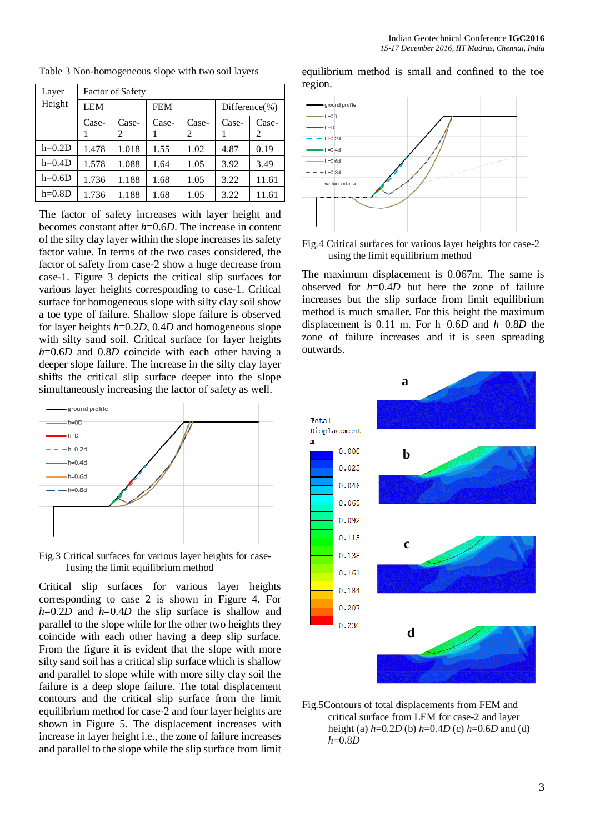| Layer    | <b>Factor of Safety</b> |       |            |       |                    |       |
|----------|-------------------------|-------|------------|-------|--------------------|-------|
| Height   | LEM                     |       | <b>FEM</b> |       | Difference $(\% )$ |       |
|          | Case-                   | Case- | Case-      | Case- | Case-              | Case- |
|          |                         | 2     |            | 2     |                    | 2     |
| $h=0.2D$ | 1.478                   | 1.018 | 1.55       | 1.02  | 4.87               | 0.19  |
| $h=0.4D$ | 1.578                   | 1.088 | 1.64       | 1.05  | 3.92               | 3.49  |
| $h=0.6D$ | 1.736                   | 1.188 | 1.68       | 1.05  | 3.22               | 11.61 |
| $h=0.8D$ | 1.736                   | 1.188 | 1.68       | 1.05  | 3.22               | 11.61 |

Table 3 Non-homogeneous slope with two soil layers

The factor of safety increases with layer height and becomes constant after *h*=0.6*D*. The increase in content of the silty clay layer within the slope increases its safety factor value. In terms of the two cases considered, the factor of safety from case-2 show a huge decrease from case-1. Figure 3 depicts the critical slip surfaces for various layer heights corresponding to case-1. Critical surface for homogeneous slope with silty clay soil show a toe type of failure. Shallow slope failure is observed for layer heights *h*=0.2*D*, 0.4*D* and homogeneous slope with silty sand soil. Critical surface for layer heights *h*=0.6*D* and 0.8*D* coincide with each other having a deeper slope failure. The increase in the silty clay layer shifts the critical slip surface deeper into the slope simultaneously increasing the factor of safety as well.



Fig.3 Critical surfaces for various layer heights for case-1using the limit equilibrium method

Critical slip surfaces for various layer heights corresponding to case 2 is shown in Figure 4. For *h*=0.2*D* and *h*=0.4*D* the slip surface is shallow and parallel to the slope while for the other two heights they coincide with each other having a deep slip surface. From the figure it is evident that the slope with more silty sand soil has a critical slip surface which is shallow and parallel to slope while with more silty clay soil the failure is a deep slope failure. The total displacement contours and the critical slip surface from the limit equilibrium method for case-2 and four layer heights are shown in Figure 5. The displacement increases with increase in layer height i.e., the zone of failure increases and parallel to the slope while the slip surface from limit equilibrium method is small and confined to the toe region.



Fig.4 Critical surfaces for various layer heights for case-2 using the limit equilibrium method

The maximum displacement is 0.067m. The same is observed for *h*=0.4*D* but here the zone of failure increases but the slip surface from limit equilibrium method is much smaller. For this height the maximum displacement is 0.11 m. For h=0.6*D* and *h*=0.8*D* the zone of failure increases and it is seen spreading outwards.